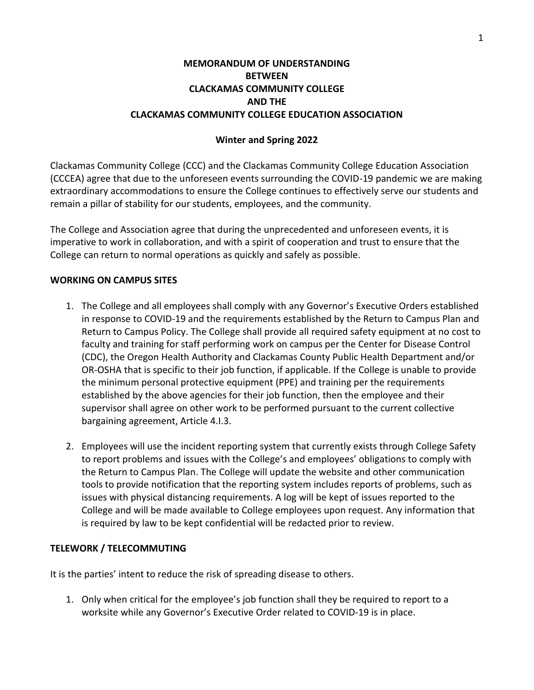# **MEMORANDUM OF UNDERSTANDING BETWEEN CLACKAMAS COMMUNITY COLLEGE AND THE CLACKAMAS COMMUNITY COLLEGE EDUCATION ASSOCIATION**

### **Winter and Spring 2022**

Clackamas Community College (CCC) and the Clackamas Community College Education Association (CCCEA) agree that due to the unforeseen events surrounding the COVID-19 pandemic we are making extraordinary accommodations to ensure the College continues to effectively serve our students and remain a pillar of stability for our students, employees, and the community.

The College and Association agree that during the unprecedented and unforeseen events, it is imperative to work in collaboration, and with a spirit of cooperation and trust to ensure that the College can return to normal operations as quickly and safely as possible.

#### **WORKING ON CAMPUS SITES**

- 1. The College and all employees shall comply with any Governor's Executive Orders established in response to COVID-19 and the requirements established by the Return to Campus Plan and Return to Campus Policy. The College shall provide all required safety equipment at no cost to faculty and training for staff performing work on campus per the Center for Disease Control (CDC), the Oregon Health Authority and Clackamas County Public Health Department and/or OR-OSHA that is specific to their job function, if applicable. If the College is unable to provide the minimum personal protective equipment (PPE) and training per the requirements established by the above agencies for their job function, then the employee and their supervisor shall agree on other work to be performed pursuant to the current collective bargaining agreement, Article 4.I.3.
- 2. Employees will use the incident reporting system that currently exists through College Safety to report problems and issues with the College's and employees' obligations to comply with the Return to Campus Plan. The College will update the website and other communication tools to provide notification that the reporting system includes reports of problems, such as issues with physical distancing requirements. A log will be kept of issues reported to the College and will be made available to College employees upon request. Any information that is required by law to be kept confidential will be redacted prior to review.

#### **TELEWORK / TELECOMMUTING**

It is the parties' intent to reduce the risk of spreading disease to others.

1. Only when critical for the employee's job function shall they be required to report to a worksite while any Governor's Executive Order related to COVID-19 is in place.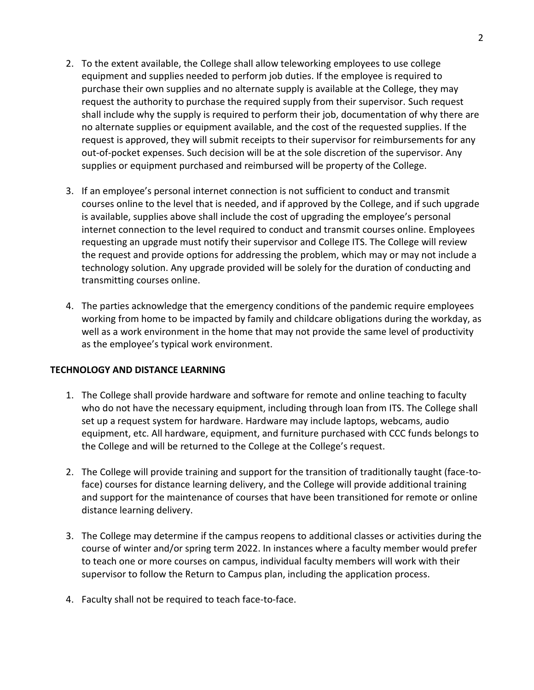- 2. To the extent available, the College shall allow teleworking employees to use college equipment and supplies needed to perform job duties. If the employee is required to purchase their own supplies and no alternate supply is available at the College, they may request the authority to purchase the required supply from their supervisor. Such request shall include why the supply is required to perform their job, documentation of why there are no alternate supplies or equipment available, and the cost of the requested supplies. If the request is approved, they will submit receipts to their supervisor for reimbursements for any out-of-pocket expenses. Such decision will be at the sole discretion of the supervisor. Any supplies or equipment purchased and reimbursed will be property of the College.
- 3. If an employee's personal internet connection is not sufficient to conduct and transmit courses online to the level that is needed, and if approved by the College, and if such upgrade is available, supplies above shall include the cost of upgrading the employee's personal internet connection to the level required to conduct and transmit courses online. Employees requesting an upgrade must notify their supervisor and College ITS. The College will review the request and provide options for addressing the problem, which may or may not include a technology solution. Any upgrade provided will be solely for the duration of conducting and transmitting courses online.
- 4. The parties acknowledge that the emergency conditions of the pandemic require employees working from home to be impacted by family and childcare obligations during the workday, as well as a work environment in the home that may not provide the same level of productivity as the employee's typical work environment.

#### **TECHNOLOGY AND DISTANCE LEARNING**

- 1. The College shall provide hardware and software for remote and online teaching to faculty who do not have the necessary equipment, including through loan from ITS. The College shall set up a request system for hardware. Hardware may include laptops, webcams, audio equipment, etc. All hardware, equipment, and furniture purchased with CCC funds belongs to the College and will be returned to the College at the College's request.
- 2. The College will provide training and support for the transition of traditionally taught (face-toface) courses for distance learning delivery, and the College will provide additional training and support for the maintenance of courses that have been transitioned for remote or online distance learning delivery.
- 3. The College may determine if the campus reopens to additional classes or activities during the course of winter and/or spring term 2022. In instances where a faculty member would prefer to teach one or more courses on campus, individual faculty members will work with their supervisor to follow the Return to Campus plan, including the application process.
- 4. Faculty shall not be required to teach face-to-face.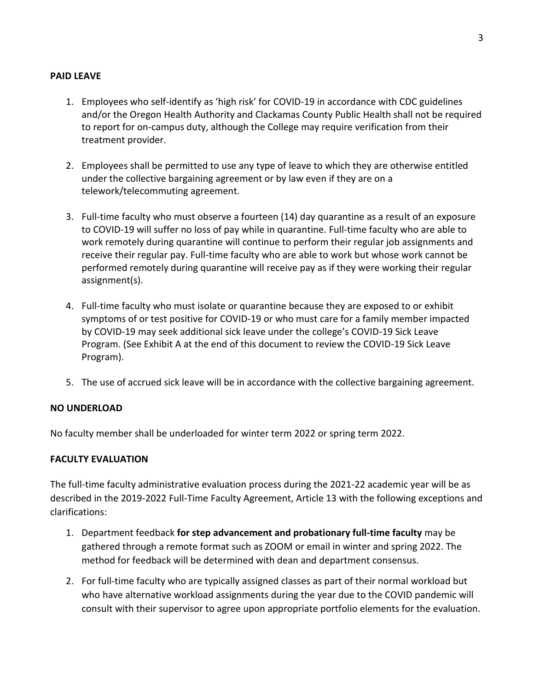#### **PAID LEAVE**

- 1. Employees who self-identify as 'high risk' for COVID-19 in accordance with CDC guidelines and/or the Oregon Health Authority and Clackamas County Public Health shall not be required to report for on-campus duty, although the College may require verification from their treatment provider.
- 2. Employees shall be permitted to use any type of leave to which they are otherwise entitled under the collective bargaining agreement or by law even if they are on a telework/telecommuting agreement.
- 3. Full-time faculty who must observe a fourteen (14) day quarantine as a result of an exposure to COVID-19 will suffer no loss of pay while in quarantine. Full-time faculty who are able to work remotely during quarantine will continue to perform their regular job assignments and receive their regular pay. Full-time faculty who are able to work but whose work cannot be performed remotely during quarantine will receive pay as if they were working their regular assignment(s).
- 4. Full-time faculty who must isolate or quarantine because they are exposed to or exhibit symptoms of or test positive for COVID-19 or who must care for a family member impacted by COVID-19 may seek additional sick leave under the college's COVID-19 Sick Leave Program. (See Exhibit A at the end of this document to review the COVID-19 Sick Leave Program).
- 5. The use of accrued sick leave will be in accordance with the collective bargaining agreement.

#### **NO UNDERLOAD**

No faculty member shall be underloaded for winter term 2022 or spring term 2022.

#### **FACULTY EVALUATION**

The full-time faculty administrative evaluation process during the 2021-22 academic year will be as described in the 2019-2022 Full-Time Faculty Agreement, Article 13 with the following exceptions and clarifications:

- 1. Department feedback **for step advancement and probationary full-time faculty** may be gathered through a remote format such as ZOOM or email in winter and spring 2022. The method for feedback will be determined with dean and department consensus.
- 2. For full-time faculty who are typically assigned classes as part of their normal workload but who have alternative workload assignments during the year due to the COVID pandemic will consult with their supervisor to agree upon appropriate portfolio elements for the evaluation.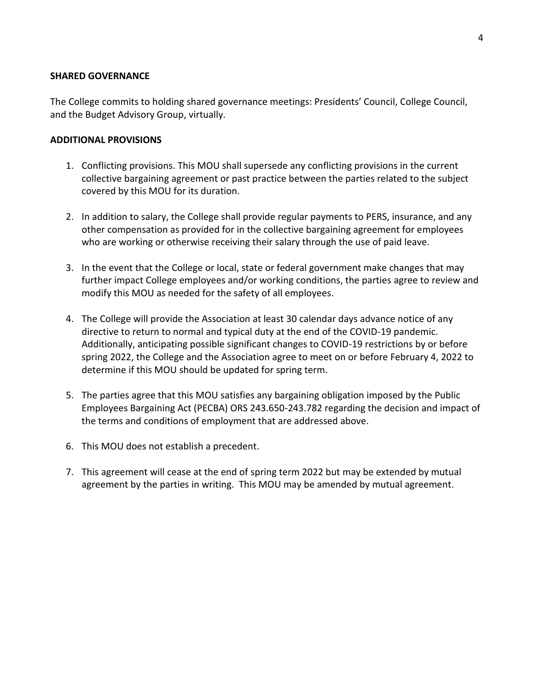#### **SHARED GOVERNANCE**

The College commits to holding shared governance meetings: Presidents' Council, College Council, and the Budget Advisory Group, virtually.

#### **ADDITIONAL PROVISIONS**

- 1. Conflicting provisions. This MOU shall supersede any conflicting provisions in the current collective bargaining agreement or past practice between the parties related to the subject covered by this MOU for its duration.
- 2. In addition to salary, the College shall provide regular payments to PERS, insurance, and any other compensation as provided for in the collective bargaining agreement for employees who are working or otherwise receiving their salary through the use of paid leave.
- 3. In the event that the College or local, state or federal government make changes that may further impact College employees and/or working conditions, the parties agree to review and modify this MOU as needed for the safety of all employees.
- 4. The College will provide the Association at least 30 calendar days advance notice of any directive to return to normal and typical duty at the end of the COVID-19 pandemic. Additionally, anticipating possible significant changes to COVID-19 restrictions by or before spring 2022, the College and the Association agree to meet on or before February 4, 2022 to determine if this MOU should be updated for spring term.
- 5. The parties agree that this MOU satisfies any bargaining obligation imposed by the Public Employees Bargaining Act (PECBA) ORS 243.650-243.782 regarding the decision and impact of the terms and conditions of employment that are addressed above.
- 6. This MOU does not establish a precedent.
- 7. This agreement will cease at the end of spring term 2022 but may be extended by mutual agreement by the parties in writing. This MOU may be amended by mutual agreement.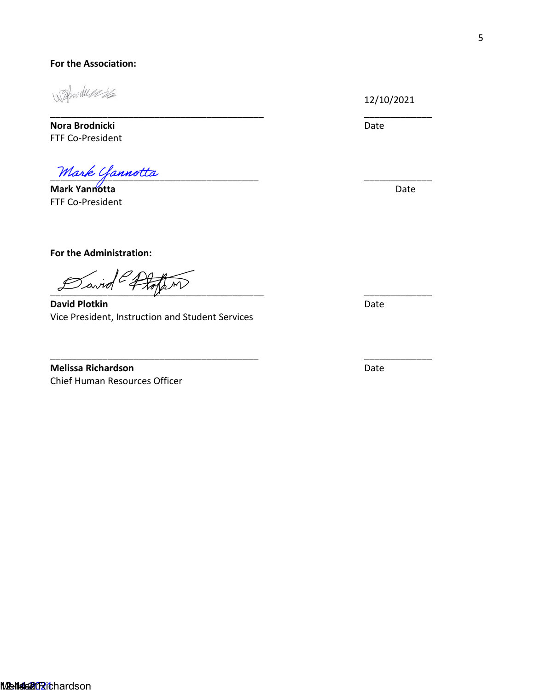#### **For the Association:**

1 Throduse 26

**Nora Brodnicki** Date FTF Co-President

Mark Yannotta

**Mark Yannotta Date** FTF Co-President

 $\overline{\phantom{a}}$ 

**For the Administration:** 

 $\sim$   $\sim$   $\sim$   $\sim$   $\sim$   $\sim$   $\sim$ 

**David Plotkin** Date **Date** Vice President, Instruction and Student Services

\_\_\_\_\_\_\_\_\_\_\_\_\_\_\_\_\_\_\_\_\_\_\_\_\_\_\_\_\_\_\_\_\_\_\_\_\_\_\_\_\_ \_\_\_\_\_\_\_\_\_\_\_\_\_

\_\_\_\_\_\_\_\_\_\_\_\_\_\_\_\_\_\_\_\_\_\_\_\_\_\_\_\_\_\_\_\_\_\_\_\_\_\_ \_\_

**Melissa Richardson** Date Chief Human Resources Officer

12/10/2021

\_\_\_\_\_\_\_\_\_\_\_

\_\_\_\_\_\_\_\_\_\_\_

\_\_\_\_\_\_\_\_\_\_\_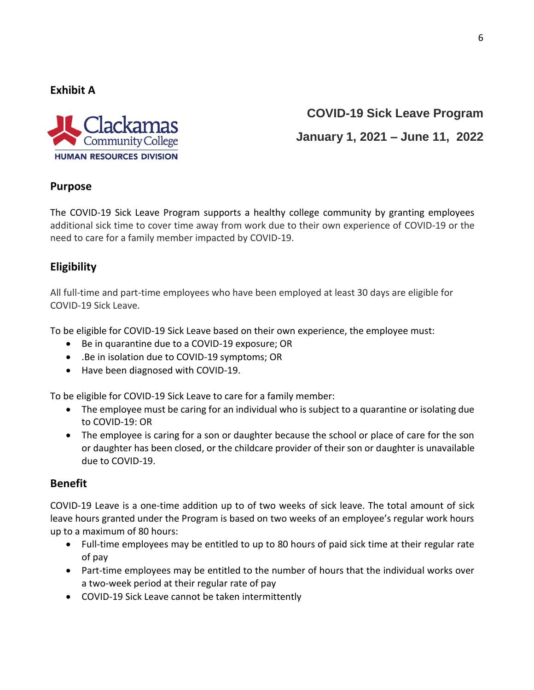**Exhibit A** 



# **COVID-19 Sick Leave Program January 1, 2021 – June 11, 2022**

# **Purpose**

The COVID-19 Sick Leave Program supports a healthy college community by granting employees additional sick time to cover time away from work due to their own experience of COVID-19 or the need to care for a family member impacted by COVID-19.

# **Eligibility**

All full-time and part-time employees who have been employed at least 30 days are eligible for COVID-19 Sick Leave.

To be eligible for COVID-19 Sick Leave based on their own experience, the employee must:

- Be in quarantine due to a COVID-19 exposure; OR
- .Be in isolation due to COVID-19 symptoms; OR
- Have been diagnosed with COVID-19.

To be eligible for COVID-19 Sick Leave to care for a family member:

- The employee must be caring for an individual who is subject to a quarantine or isolating due to COVID-19: OR
- The employee is caring for a son or daughter because the school or place of care for the son or daughter has been closed, or the childcare provider of their son or daughter is unavailable due to COVID-19.

# **Benefit**

COVID-19 Leave is a one-time addition up to of two weeks of sick leave. The total amount of sick leave hours granted under the Program is based on two weeks of an employee's regular work hours up to a maximum of 80 hours:

- Full-time employees may be entitled to up to 80 hours of paid sick time at their regular rate of pay
- Part-time employees may be entitled to the number of hours that the individual works over a two-week period at their regular rate of pay
- COVID-19 Sick Leave cannot be taken intermittently